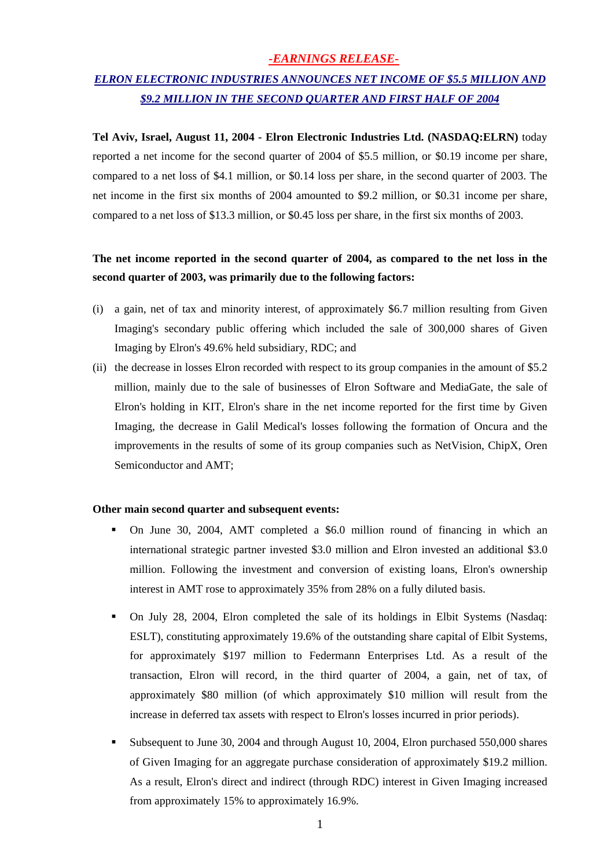### *-EARNINGS RELEASE-*

# *ELRON ELECTRONIC INDUSTRIES ANNOUNCES NET INCOME OF \$5.5 MILLION AND \$9.2 MILLION IN THE SECOND QUARTER AND FIRST HALF OF 2004*

**Tel Aviv, Israel, August 11, 2004 - Elron Electronic Industries Ltd. (NASDAQ:ELRN)** today reported a net income for the second quarter of 2004 of \$5.5 million, or \$0.19 income per share, compared to a net loss of \$4.1 million, or \$0.14 loss per share, in the second quarter of 2003. The net income in the first six months of 2004 amounted to \$9.2 million, or \$0.31 income per share, compared to a net loss of \$13.3 million, or \$0.45 loss per share, in the first six months of 2003.

## **The net income reported in the second quarter of 2004, as compared to the net loss in the second quarter of 2003, was primarily due to the following factors:**

- (i) a gain, net of tax and minority interest, of approximately \$6.7 million resulting from Given Imaging's secondary public offering which included the sale of 300,000 shares of Given Imaging by Elron's 49.6% held subsidiary, RDC; and
- (ii) the decrease in losses Elron recorded with respect to its group companies in the amount of \$5.2 million, mainly due to the sale of businesses of Elron Software and MediaGate, the sale of Elron's holding in KIT, Elron's share in the net income reported for the first time by Given Imaging, the decrease in Galil Medical's losses following the formation of Oncura and the improvements in the results of some of its group companies such as NetVision, ChipX, Oren Semiconductor and AMT;

#### **Other main second quarter and subsequent events:**

- On June 30, 2004, AMT completed a \$6.0 million round of financing in which an international strategic partner invested \$3.0 million and Elron invested an additional \$3.0 million. Following the investment and conversion of existing loans, Elron's ownership interest in AMT rose to approximately 35% from 28% on a fully diluted basis.
- On July 28, 2004, Elron completed the sale of its holdings in Elbit Systems (Nasdaq: ESLT), constituting approximately 19.6% of the outstanding share capital of Elbit Systems, for approximately \$197 million to Federmann Enterprises Ltd. As a result of the transaction, Elron will record, in the third quarter of 2004, a gain, net of tax, of approximately \$80 million (of which approximately \$10 million will result from the increase in deferred tax assets with respect to Elron's losses incurred in prior periods).
- Subsequent to June 30, 2004 and through August 10, 2004, Elron purchased 550,000 shares of Given Imaging for an aggregate purchase consideration of approximately \$19.2 million. As a result, Elron's direct and indirect (through RDC) interest in Given Imaging increased from approximately 15% to approximately 16.9%.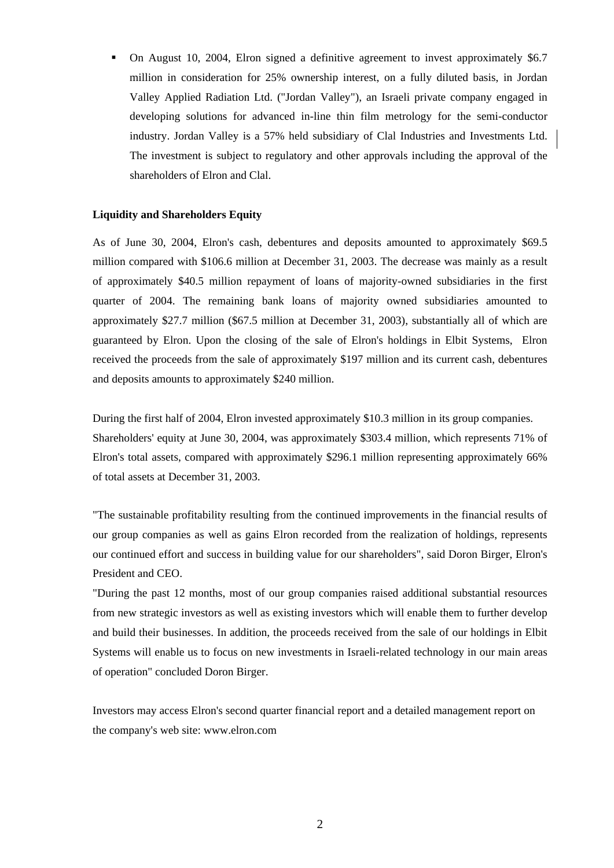On August 10, 2004, Elron signed a definitive agreement to invest approximately \$6.7 million in consideration for 25% ownership interest, on a fully diluted basis, in Jordan Valley Applied Radiation Ltd. ("Jordan Valley"), an Israeli private company engaged in developing solutions for advanced in-line thin film metrology for the semi-conductor industry. Jordan Valley is a 57% held subsidiary of Clal Industries and Investments Ltd. The investment is subject to regulatory and other approvals including the approval of the shareholders of Elron and Clal.

#### **Liquidity and Shareholders Equity**

As of June 30, 2004, Elron's cash, debentures and deposits amounted to approximately \$69.5 million compared with \$106.6 million at December 31, 2003. The decrease was mainly as a result of approximately \$40.5 million repayment of loans of majority-owned subsidiaries in the first quarter of 2004. The remaining bank loans of majority owned subsidiaries amounted to approximately \$27.7 million (\$67.5 million at December 31, 2003), substantially all of which are guaranteed by Elron. Upon the closing of the sale of Elron's holdings in Elbit Systems, Elron received the proceeds from the sale of approximately \$197 million and its current cash, debentures and deposits amounts to approximately \$240 million.

During the first half of 2004, Elron invested approximately \$10.3 million in its group companies. Shareholders' equity at June 30, 2004, was approximately \$303.4 million, which represents 71% of Elron's total assets, compared with approximately \$296.1 million representing approximately 66% of total assets at December 31, 2003.

"The sustainable profitability resulting from the continued improvements in the financial results of our group companies as well as gains Elron recorded from the realization of holdings, represents our continued effort and success in building value for our shareholders", said Doron Birger, Elron's President and CEO.

"During the past 12 months, most of our group companies raised additional substantial resources from new strategic investors as well as existing investors which will enable them to further develop and build their businesses. In addition, the proceeds received from the sale of our holdings in Elbit Systems will enable us to focus on new investments in Israeli-related technology in our main areas of operation" concluded Doron Birger.

Investors may access Elron's second quarter financial report and a detailed management report on the company's web site: [www.elron.com](http://www.elron.com/)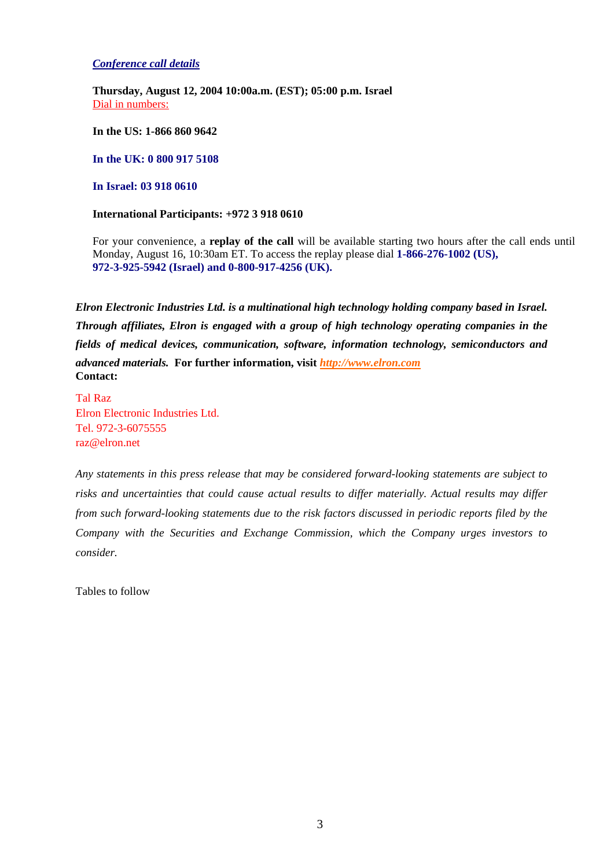*Conference call details*

**Thursday, August 12, 2004 10:00a.m. (EST); 05:00 p.m. Israel**  Dial in numbers:

**In the US: 1-866 860 9642**

**In the UK: 0 800 917 5108** 

**In Israel: 03 918 0610**

**International Participants: +972 3 918 0610** 

For your convenience, a **replay of the call** will be available starting two hours after the call ends until Monday, August 16, 10:30am ET. To access the replay please dial **1-866-276-1002 (US), 972-3-925-5942 (Israel) and 0-800-917-4256 (UK).**

*Elron Electronic Industries Ltd. is a multinational high technology holding company based in Israel. Through affiliates, Elron is engaged with a group of high technology operating companies in the fields of medical devices, communication, software, information technology, semiconductors and advanced materials.* **For further information, visit** *[http://www.elron.com](http://www.elron.com/)* **Contact:** 

Tal Raz Elron Electronic Industries Ltd. Tel. 972-3-6075555 [raz@elron.net](mailto:raz@elron.net) 

*Any statements in this press release that may be considered forward-looking statements are subject to risks and uncertainties that could cause actual results to differ materially. Actual results may differ from such forward-looking statements due to the risk factors discussed in periodic reports filed by the Company with the Securities and Exchange Commission, which the Company urges investors to consider.* 

Tables to follow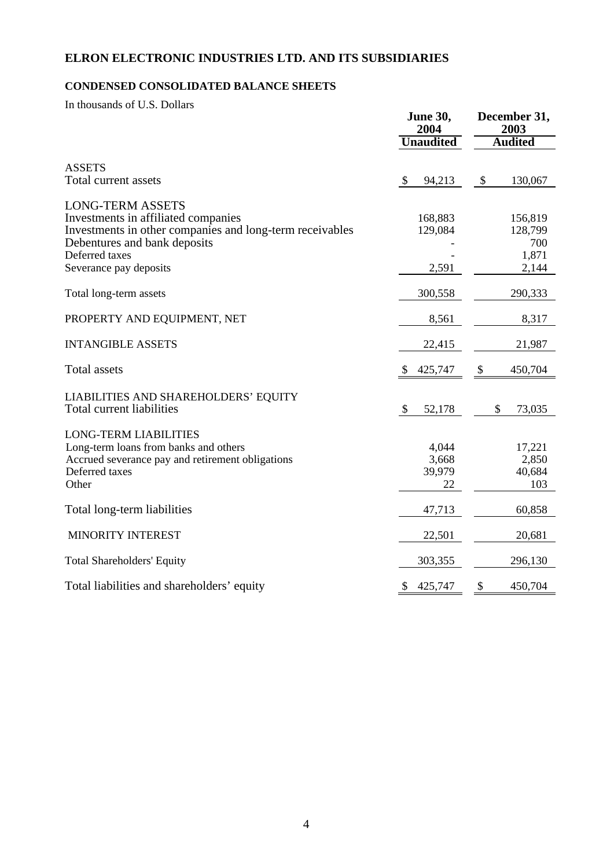## **ELRON ELECTRONIC INDUSTRIES LTD. AND ITS SUBSIDIARIES**

## **CONDENSED CONSOLIDATED BALANCE SHEETS**

In thousands of U.S. Dollars

|                                                                                                                                                                                                        | <b>June 30,</b><br>2004        | December 31,<br>2003<br><b>Audited</b>      |  |
|--------------------------------------------------------------------------------------------------------------------------------------------------------------------------------------------------------|--------------------------------|---------------------------------------------|--|
|                                                                                                                                                                                                        | <b>Unaudited</b>               |                                             |  |
| <b>ASSETS</b><br>Total current assets                                                                                                                                                                  | \$<br>94,213                   | \$<br>130,067                               |  |
| <b>LONG-TERM ASSETS</b><br>Investments in affiliated companies<br>Investments in other companies and long-term receivables<br>Debentures and bank deposits<br>Deferred taxes<br>Severance pay deposits | 168,883<br>129,084<br>2,591    | 156,819<br>128,799<br>700<br>1,871<br>2,144 |  |
| Total long-term assets                                                                                                                                                                                 | 300,558                        | 290,333                                     |  |
| PROPERTY AND EQUIPMENT, NET                                                                                                                                                                            | 8,561                          | 8,317                                       |  |
| <b>INTANGIBLE ASSETS</b>                                                                                                                                                                               | 22,415                         | 21,987                                      |  |
| <b>Total assets</b>                                                                                                                                                                                    | 425,747<br>\$                  | \$<br>450,704                               |  |
| LIABILITIES AND SHAREHOLDERS' EQUITY<br><b>Total current liabilities</b>                                                                                                                               | \$<br>52,178                   | 73,035<br>\$                                |  |
| <b>LONG-TERM LIABILITIES</b><br>Long-term loans from banks and others<br>Accrued severance pay and retirement obligations<br>Deferred taxes<br>Other                                                   | 4,044<br>3,668<br>39,979<br>22 | 17,221<br>2,850<br>40,684<br>103            |  |
| Total long-term liabilities                                                                                                                                                                            | 47,713                         | 60,858                                      |  |
| MINORITY INTEREST                                                                                                                                                                                      | 22,501                         | 20,681                                      |  |
| <b>Total Shareholders' Equity</b>                                                                                                                                                                      | 303,355                        | 296,130                                     |  |
| Total liabilities and shareholders' equity                                                                                                                                                             | 425,747<br>$\mathcal{S}$       | 450,704<br>\$                               |  |